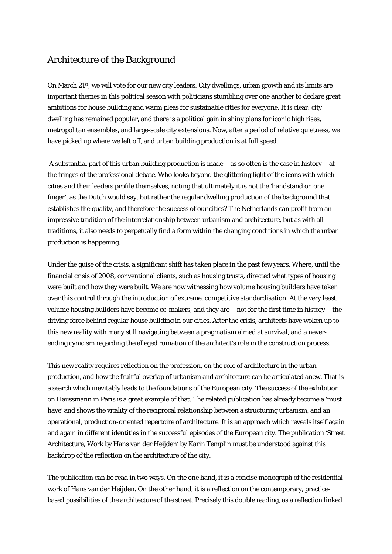## Architecture of the Background

On March 21st, we will vote for our new city leaders. City dwellings, urban growth and its limits are important themes in this political season with politicians stumbling over one another to declare great ambitions for house building and warm pleas for sustainable cities for everyone. It is clear: city dwelling has remained popular, and there is a political gain in shiny plans for iconic high rises, metropolitan ensembles, and large-scale city extensions. Now, after a period of relative quietness, we have picked up where we left off, and urban building production is at full speed.

A substantial part of this urban building production is made – as so often is the case in history – at the fringes of the professional debate. Who looks beyond the glittering light of the icons with which cities and their leaders profile themselves, noting that ultimately it is not the 'handstand on one finger', as the Dutch would say, but rather the regular dwelling production of the background that establishes the quality, and therefore the success of our cities? The Netherlands can profit from an impressive tradition of the interrelationship between urbanism and architecture, but as with all traditions, it also needs to perpetually find a form within the changing conditions in which the urban production is happening.

Under the guise of the crisis, a significant shift has taken place in the past few years. Where, until the financial crisis of 2008, conventional clients, such as housing trusts, directed what types of housing were built and how they were built. We are now witnessing how volume housing builders have taken over this control through the introduction of extreme, competitive standardisation. At the very least, volume housing builders have become co-makers, and they are – not for the first time in history – the driving force behind regular house building in our cities. After the crisis, architects have woken up to this new reality with many still navigating between a pragmatism aimed at survival, and a neverending cynicism regarding the alleged ruination of the architect's role in the construction process.

This new reality requires reflection on the profession, on the role of architecture in the urban production, and how the fruitful overlap of urbanism and architecture can be articulated anew. That is a search which inevitably leads to the foundations of the European city. The success of the exhibition on Haussmann in Paris is a great example of that. The related publication has already become a 'must have' and shows the vitality of the reciprocal relationship between a structuring urbanism, and an operational, production-oriented repertoire of architecture. It is an approach which reveals itself again and again in different identities in the successful episodes of the European city. The publication 'Street Architecture, Work by Hans van der Heijden' by Karin Templin must be understood against this backdrop of the reflection on the architecture of the city.

The publication can be read in two ways. On the one hand, it is a concise monograph of the residential work of Hans van der Heijden. On the other hand, it is a reflection on the contemporary, practicebased possibilities of the architecture of the street. Precisely this double reading, as a reflection linked